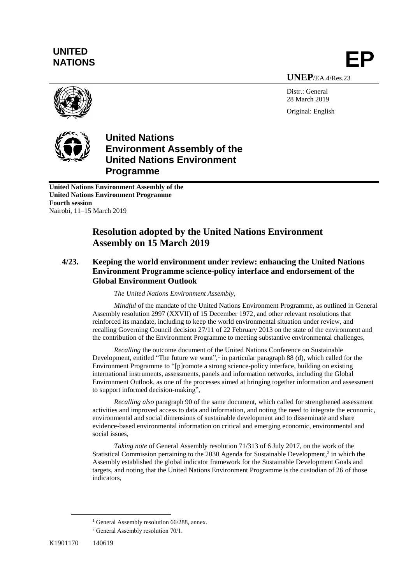# **UNITED** UNITED<br>NATIONS **EP**

**UNEP**/EA.4/Res.23

Distr.: General 28 March 2019 Original: English





**United Nations Environment Assembly of the United Nations Environment Programme**

**United Nations Environment Assembly of the United Nations Environment Programme Fourth session** Nairobi, 11–15 March 2019

### **Resolution adopted by the United Nations Environment Assembly on 15 March 2019**

### **4/23. Keeping the world environment under review: enhancing the United Nations Environment Programme science-policy interface and endorsement of the Global Environment Outlook**

*The United Nations Environment Assembly,*

*Mindful* of the mandate of the United Nations Environment Programme, as outlined in General Assembly resolution 2997 (XXVII) of 15 December 1972, and other relevant resolutions that reinforced its mandate, including to keep the world environmental situation under review, and recalling Governing Council decision 27/11 of 22 February 2013 on the state of the environment and the contribution of the Environment Programme to meeting substantive environmental challenges,

*Recalling* the outcome document of the United Nations Conference on Sustainable Development, entitled "The future we want",<sup>1</sup> in particular paragraph 88 (d), which called for the Environment Programme to "[p]romote a strong science-policy interface, building on existing international instruments, assessments, panels and information networks, including the Global Environment Outlook, as one of the processes aimed at bringing together information and assessment to support informed decision-making",

*Recalling also* paragraph 90 of the same document, which called for strengthened assessment activities and improved access to data and information, and noting the need to integrate the economic, environmental and social dimensions of sustainable development and to disseminate and share evidence-based environmental information on critical and emerging economic, environmental and social issues,

*Taking note* of General Assembly resolution [71/313](https://undocs.org/A/RES/71/313) of 6 July 2017, on the work of the Statistical Commission pertaining to the 2030 Agenda for Sustainable Development,<sup>2</sup> in which the Assembly established the global indicator framework for the Sustainable Development Goals and targets, and noting that the United Nations Environment Programme is the custodian of 26 of those indicators,

 $\overline{a}$ 

<sup>&</sup>lt;sup>1</sup> General Assembly resolution  $66/288$ , annex.

<sup>2</sup> General Assembly resolution 70/1.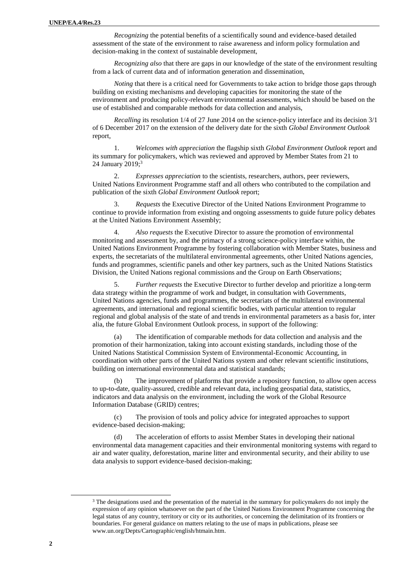*Recognizing* the potential benefits of a scientifically sound and evidence-based detailed assessment of the state of the environment to raise awareness and inform policy formulation and decision-making in the context of sustainable development,

*Recognizing also* that there are gaps in our knowledge of the state of the environment resulting from a lack of current data and of information generation and dissemination,

*Noting* that there is a critical need for Governments to take action to bridge those gaps through building on existing mechanisms and developing capacities for monitoring the state of the environment and producing policy-relevant environmental assessments, which should be based on the use of established and comparable methods for data collection and analysis,

*Recalling* its resolution 1/4 of 27 June 2014 on the science-policy interface and its decision 3/1 of 6 December 2017 on the extension of the delivery date for the sixth *Global Environment Outlook* report,

1. *Welcomes with appreciation* the flagship sixth *Global Environment Outlook* report and its summary for policymakers, which was reviewed and approved by Member States from 21 to 24 January 2019; 3

2. *Expresses appreciation* to the scientists, researchers, authors, peer reviewers, United Nations Environment Programme staff and all others who contributed to the compilation and publication of the sixth *Global Environment Outlook* report;

3. *Requests* the Executive Director of the United Nations Environment Programme to continue to provide information from existing and ongoing assessments to guide future policy debates at the United Nations Environment Assembly;

4. *Also requests* the Executive Director to assure the promotion of environmental monitoring and assessment by, and the primacy of a strong science-policy interface within, the United Nations Environment Programme by fostering collaboration with Member States, business and experts, the secretariats of the multilateral environmental agreements, other United Nations agencies, funds and programmes, scientific panels and other key partners, such as the United Nations Statistics Division, the United Nations regional commissions and the Group on Earth Observations;

5. *Further requests* the Executive Director to further develop and prioritize a long-term data strategy within the programme of work and budget, in consultation with Governments, United Nations agencies, funds and programmes, the secretariats of the multilateral environmental agreements, and international and regional scientific bodies, with particular attention to regular regional and global analysis of the state of and trends in environmental parameters as a basis for, inter alia, the future Global Environment Outlook process, in support of the following:

(a) The identification of comparable methods for data collection and analysis and the promotion of their harmonization, taking into account existing standards, including those of the United Nations Statistical Commission System of Environmental-Economic Accounting, in coordination with other parts of the United Nations system and other relevant scientific institutions, building on international environmental data and statistical standards;

(b) The improvement of platforms that provide a repository function, to allow open access to up-to-date, quality-assured, credible and relevant data, including geospatial data, statistics, indicators and data analysis on the environment, including the work of the Global Resource Information Database (GRID) centres;

(c) The provision of tools and policy advice for integrated approaches to support evidence-based decision-making;

(d) The acceleration of efforts to assist Member States in developing their national environmental data management capacities and their environmental monitoring systems with regard to air and water quality, deforestation, marine litter and environmental security, and their ability to use data analysis to support evidence-based decision-making;

 $\overline{a}$ 

<sup>&</sup>lt;sup>3</sup> The designations used and the presentation of the material in the summary for policymakers do not imply the expression of any opinion whatsoever on the part of the United Nations Environment Programme concerning the legal status of any country, territory or city or its authorities, or concerning the delimitation of its frontiers or boundaries. For general guidance on matters relating to the use of maps in publications, please see [www.un.org/Depts/Cartographic/english/htmain.htm.](file:///C:/Users/UNEP/Desktop/www.un.org/Depts/Cartographic/english/htmain.htm)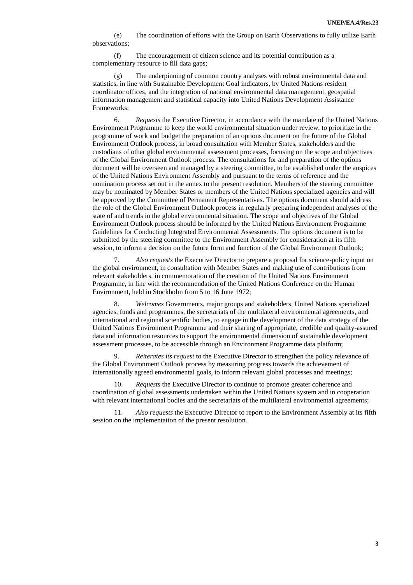(e) The coordination of efforts with the Group on Earth Observations to fully utilize Earth observations;

(f) The encouragement of citizen science and its potential contribution as a complementary resource to fill data gaps;

(g) The underpinning of common country analyses with robust environmental data and statistics, in line with Sustainable Development Goal indicators, by United Nations resident coordinator offices, and the integration of national environmental data management, geospatial information management and statistical capacity into United Nations Development Assistance Frameworks;

6. *Requests* the Executive Director, in accordance with the mandate of the United Nations Environment Programme to keep the world environmental situation under review, to prioritize in the programme of work and budget the preparation of an options document on the future of the Global Environment Outlook process, in broad consultation with Member States, stakeholders and the custodians of other global environmental assessment processes, focusing on the scope and objectives of the Global Environment Outlook process. The consultations for and preparation of the options document will be overseen and managed by a steering committee, to be established under the auspices of the United Nations Environment Assembly and pursuant to the terms of reference and the nomination process set out in the annex to the present resolution. Members of the steering committee may be nominated by Member States or members of the United Nations specialized agencies and will be approved by the Committee of Permanent Representatives. The options document should address the role of the Global Environment Outlook process in regularly preparing independent analyses of the state of and trends in the global environmental situation. The scope and objectives of the Global Environment Outlook process should be informed by the United Nations Environment Programme Guidelines for Conducting Integrated Environmental Assessments. The options document is to be submitted by the steering committee to the Environment Assembly for consideration at its fifth session, to inform a decision on the future form and function of the Global Environment Outlook;

7. *Also requests* the Executive Director to prepare a proposal for science-policy input on the global environment, in consultation with Member States and making use of contributions from relevant stakeholders, in commemoration of the creation of the United Nations Environment Programme, in line with the recommendation of the United Nations Conference on the Human Environment, held in Stockholm from 5 to 16 June 1972;

8. *Welcomes* Governments, major groups and stakeholders, United Nations specialized agencies, funds and programmes, the secretariats of the multilateral environmental agreements, and international and regional scientific bodies, to engage in the development of the data strategy of the United Nations Environment Programme and their sharing of appropriate, credible and quality-assured data and information resources to support the environmental dimension of sustainable development assessment processes, to be accessible through an Environment Programme data platform;

9. *Reiterates its request* to the Executive Director to strengthen the policy relevance of the Global Environment Outlook process by measuring progress towards the achievement of internationally agreed environmental goals, to inform relevant global processes and meetings;

10. *Requests* the Executive Director to continue to promote greater coherence and coordination of global assessments undertaken within the United Nations system and in cooperation with relevant international bodies and the secretariats of the multilateral environmental agreements;

Also requests the Executive Director to report to the Environment Assembly at its fifth session on the implementation of the present resolution.